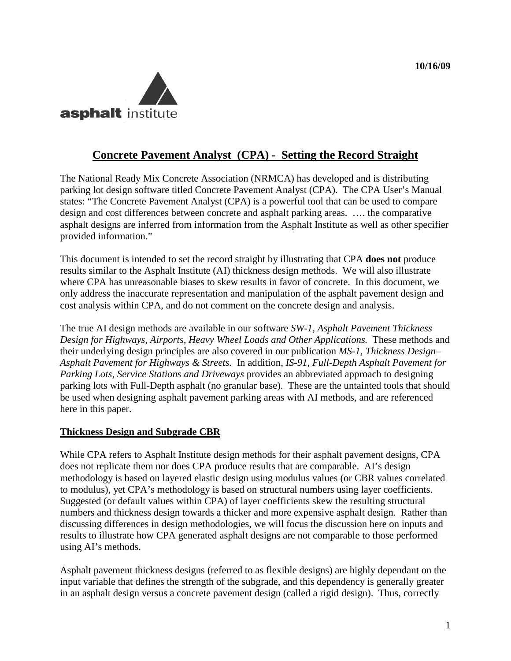

# **Concrete Pavement Analyst (CPA) - Setting the Record Straight**

The National Ready Mix Concrete Association (NRMCA) has developed and is distributing parking lot design software titled Concrete Pavement Analyst (CPA). The CPA User's Manual states: "The Concrete Pavement Analyst (CPA) is a powerful tool that can be used to compare design and cost differences between concrete and asphalt parking areas. …. the comparative asphalt designs are inferred from information from the Asphalt Institute as well as other specifier provided information."

This document is intended to set the record straight by illustrating that CPA **does not** produce results similar to the Asphalt Institute (AI) thickness design methods. We will also illustrate where CPA has unreasonable biases to skew results in favor of concrete. In this document, we only address the inaccurate representation and manipulation of the asphalt pavement design and cost analysis within CPA, and do not comment on the concrete design and analysis.

The true AI design methods are available in our software *SW-1, Asphalt Pavement Thickness Design for Highways, Airports, Heavy Wheel Loads and Other Applications.* These methods and their underlying design principles are also covered in our publication *MS-1, Thickness Design– Asphalt Pavement for Highways & Streets.* In addition, *IS-91, Full-Depth Asphalt Pavement for Parking Lots, Service Stations and Driveways* provides an abbreviated approach to designing parking lots with Full-Depth asphalt (no granular base). These are the untainted tools that should be used when designing asphalt pavement parking areas with AI methods, and are referenced here in this paper.

# **Thickness Design and Subgrade CBR**

While CPA refers to Asphalt Institute design methods for their asphalt pavement designs, CPA does not replicate them nor does CPA produce results that are comparable. AI's design methodology is based on layered elastic design using modulus values (or CBR values correlated to modulus), yet CPA's methodology is based on structural numbers using layer coefficients. Suggested (or default values within CPA) of layer coefficients skew the resulting structural numbers and thickness design towards a thicker and more expensive asphalt design. Rather than discussing differences in design methodologies, we will focus the discussion here on inputs and results to illustrate how CPA generated asphalt designs are not comparable to those performed using AI's methods.

Asphalt pavement thickness designs (referred to as flexible designs) are highly dependant on the input variable that defines the strength of the subgrade, and this dependency is generally greater in an asphalt design versus a concrete pavement design (called a rigid design). Thus, correctly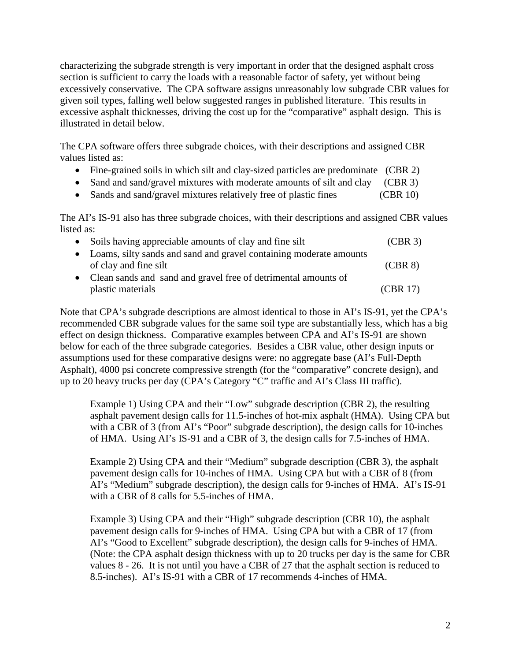characterizing the subgrade strength is very important in order that the designed asphalt cross section is sufficient to carry the loads with a reasonable factor of safety, yet without being excessively conservative. The CPA software assigns unreasonably low subgrade CBR values for given soil types, falling well below suggested ranges in published literature. This results in excessive asphalt thicknesses, driving the cost up for the "comparative" asphalt design. This is illustrated in detail below.

The CPA software offers three subgrade choices, with their descriptions and assigned CBR values listed as:

- Fine-grained soils in which silt and clay-sized particles are predominate (CBR 2)
- Sand and sand/gravel mixtures with moderate amounts of silt and clay (CBR 3)
- Sands and sand/gravel mixtures relatively free of plastic fines (CBR 10)

The AI's IS-91 also has three subgrade choices, with their descriptions and assigned CBR values listed as:

| • Soils having appreciable amounts of clay and fine silt             | (CBR <sub>3</sub> ) |
|----------------------------------------------------------------------|---------------------|
| • Loams, silty sands and sand and gravel containing moderate amounts |                     |
| of clay and fine silt                                                | (CBR 8)             |
| • Clean sands and sand and gravel free of detrimental amounts of     |                     |
| plastic materials                                                    | (CBR 17)            |

Note that CPA's subgrade descriptions are almost identical to those in AI's IS-91, yet the CPA's recommended CBR subgrade values for the same soil type are substantially less, which has a big effect on design thickness. Comparative examples between CPA and AI's IS-91 are shown below for each of the three subgrade categories. Besides a CBR value, other design inputs or assumptions used for these comparative designs were: no aggregate base (AI's Full-Depth Asphalt), 4000 psi concrete compressive strength (for the "comparative" concrete design), and up to 20 heavy trucks per day (CPA's Category "C" traffic and AI's Class III traffic).

Example 1) Using CPA and their "Low" subgrade description (CBR 2), the resulting asphalt pavement design calls for 11.5-inches of hot-mix asphalt (HMA). Using CPA but with a CBR of 3 (from AI's "Poor" subgrade description), the design calls for 10-inches of HMA. Using AI's IS-91 and a CBR of 3, the design calls for 7.5-inches of HMA.

Example 2) Using CPA and their "Medium" subgrade description (CBR 3), the asphalt pavement design calls for 10-inches of HMA. Using CPA but with a CBR of 8 (from AI's "Medium" subgrade description), the design calls for 9-inches of HMA. AI's IS-91 with a CBR of 8 calls for 5.5-inches of HMA.

Example 3) Using CPA and their "High" subgrade description (CBR 10), the asphalt pavement design calls for 9-inches of HMA. Using CPA but with a CBR of 17 (from AI's "Good to Excellent" subgrade description), the design calls for 9-inches of HMA. (Note: the CPA asphalt design thickness with up to 20 trucks per day is the same for CBR values 8 - 26. It is not until you have a CBR of 27 that the asphalt section is reduced to 8.5-inches). AI's IS-91 with a CBR of 17 recommends 4-inches of HMA.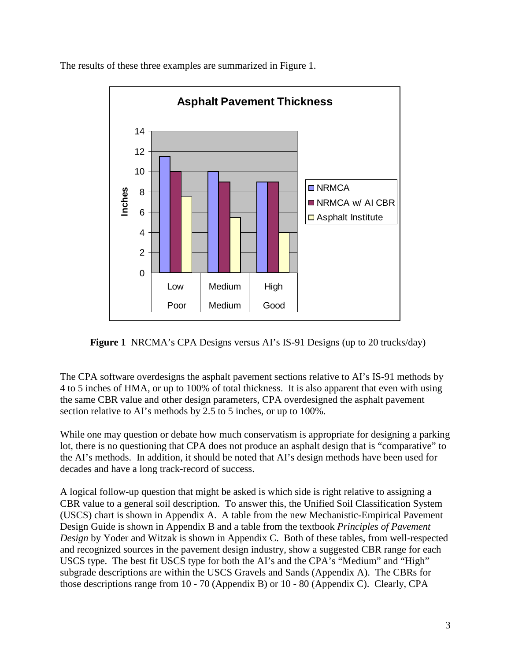

The results of these three examples are summarized in Figure 1.

**Figure 1** NRCMA's CPA Designs versus AI's IS-91 Designs (up to 20 trucks/day)

The CPA software overdesigns the asphalt pavement sections relative to AI's IS-91 methods by 4 to 5 inches of HMA, or up to 100% of total thickness. It is also apparent that even with using the same CBR value and other design parameters, CPA overdesigned the asphalt pavement section relative to AI's methods by 2.5 to 5 inches, or up to 100%.

While one may question or debate how much conservatism is appropriate for designing a parking lot, there is no questioning that CPA does not produce an asphalt design that is "comparative" to the AI's methods. In addition, it should be noted that AI's design methods have been used for decades and have a long track-record of success.

A logical follow-up question that might be asked is which side is right relative to assigning a CBR value to a general soil description. To answer this, the Unified Soil Classification System (USCS) chart is shown in Appendix A. A table from the new Mechanistic-Empirical Pavement Design Guide is shown in Appendix B and a table from the textbook *Principles of Pavement Design* by Yoder and Witzak is shown in Appendix C. Both of these tables, from well-respected and recognized sources in the pavement design industry, show a suggested CBR range for each USCS type. The best fit USCS type for both the AI's and the CPA's "Medium" and "High" subgrade descriptions are within the USCS Gravels and Sands (Appendix A). The CBRs for those descriptions range from 10 - 70 (Appendix B) or 10 - 80 (Appendix C). Clearly, CPA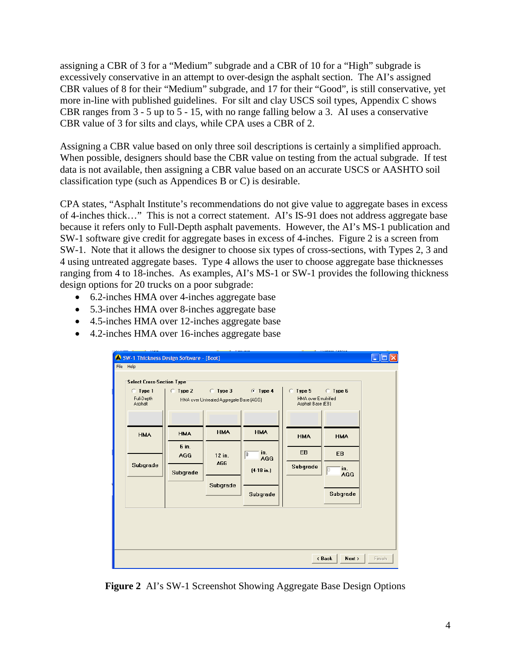assigning a CBR of 3 for a "Medium" subgrade and a CBR of 10 for a "High" subgrade is excessively conservative in an attempt to over-design the asphalt section. The AI's assigned CBR values of 8 for their "Medium" subgrade, and 17 for their "Good", is still conservative, yet more in-line with published guidelines. For silt and clay USCS soil types, Appendix C shows CBR ranges from 3 - 5 up to 5 - 15, with no range falling below a 3. AI uses a conservative CBR value of 3 for silts and clays, while CPA uses a CBR of 2.

Assigning a CBR value based on only three soil descriptions is certainly a simplified approach. When possible, designers should base the CBR value on testing from the actual subgrade. If test data is not available, then assigning a CBR value based on an accurate USCS or AASHTO soil classification type (such as Appendices B or C) is desirable.

CPA states, "Asphalt Institute's recommendations do not give value to aggregate bases in excess of 4-inches thick…" This is not a correct statement. AI's IS-91 does not address aggregate base because it refers only to Full-Depth asphalt pavements. However, the AI's MS-1 publication and SW-1 software give credit for aggregate bases in excess of 4-inches. Figure 2 is a screen from SW-1. Note that it allows the designer to choose six types of cross-sections, with Types 2, 3 and 4 using untreated aggregate bases. Type 4 allows the user to choose aggregate base thicknesses ranging from 4 to 18-inches. As examples, AI's MS-1 or SW-1 provides the following thickness design options for 20 trucks on a poor subgrade:

- 6.2-inches HMA over 4-inches aggregate base
- 5.3-inches HMA over 8-inches aggregate base
- 4.5-inches HMA over 12-inches aggregate base
- 4.2-inches HMA over 16-inches aggregate base



**Figure 2** AI's SW-1 Screenshot Showing Aggregate Base Design Options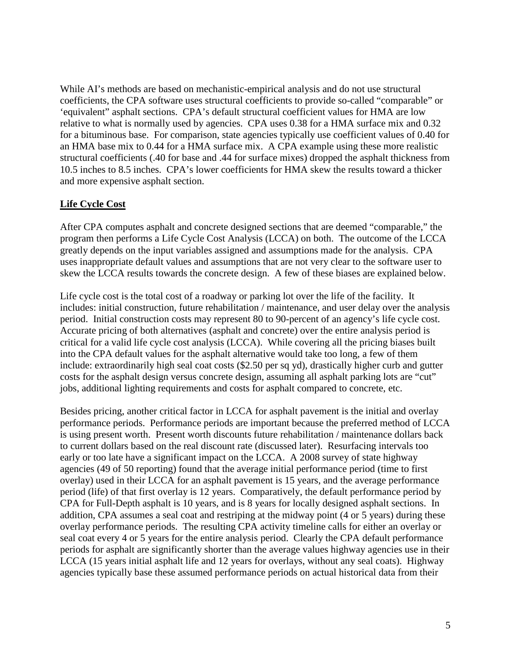While AI's methods are based on mechanistic-empirical analysis and do not use structural coefficients, the CPA software uses structural coefficients to provide so-called "comparable" or 'equivalent" asphalt sections. CPA's default structural coefficient values for HMA are low relative to what is normally used by agencies. CPA uses 0.38 for a HMA surface mix and 0.32 for a bituminous base. For comparison, state agencies typically use coefficient values of 0.40 for an HMA base mix to 0.44 for a HMA surface mix. A CPA example using these more realistic structural coefficients (.40 for base and .44 for surface mixes) dropped the asphalt thickness from 10.5 inches to 8.5 inches. CPA's lower coefficients for HMA skew the results toward a thicker and more expensive asphalt section.

# **Life Cycle Cost**

After CPA computes asphalt and concrete designed sections that are deemed "comparable," the program then performs a Life Cycle Cost Analysis (LCCA) on both. The outcome of the LCCA greatly depends on the input variables assigned and assumptions made for the analysis. CPA uses inappropriate default values and assumptions that are not very clear to the software user to skew the LCCA results towards the concrete design. A few of these biases are explained below.

Life cycle cost is the total cost of a roadway or parking lot over the life of the facility. It includes: initial construction, future rehabilitation / maintenance, and user delay over the analysis period. Initial construction costs may represent 80 to 90-percent of an agency's life cycle cost. Accurate pricing of both alternatives (asphalt and concrete) over the entire analysis period is critical for a valid life cycle cost analysis (LCCA). While covering all the pricing biases built into the CPA default values for the asphalt alternative would take too long, a few of them include: extraordinarily high seal coat costs (\$2.50 per sq yd), drastically higher curb and gutter costs for the asphalt design versus concrete design, assuming all asphalt parking lots are "cut" jobs, additional lighting requirements and costs for asphalt compared to concrete, etc.

Besides pricing, another critical factor in LCCA for asphalt pavement is the initial and overlay performance periods. Performance periods are important because the preferred method of LCCA is using present worth. Present worth discounts future rehabilitation / maintenance dollars back to current dollars based on the real discount rate (discussed later). Resurfacing intervals too early or too late have a significant impact on the LCCA. A 2008 survey of state highway agencies (49 of 50 reporting) found that the average initial performance period (time to first overlay) used in their LCCA for an asphalt pavement is 15 years, and the average performance period (life) of that first overlay is 12 years. Comparatively, the default performance period by CPA for Full-Depth asphalt is 10 years, and is 8 years for locally designed asphalt sections. In addition, CPA assumes a seal coat and restriping at the midway point (4 or 5 years) during these overlay performance periods. The resulting CPA activity timeline calls for either an overlay or seal coat every 4 or 5 years for the entire analysis period. Clearly the CPA default performance periods for asphalt are significantly shorter than the average values highway agencies use in their LCCA (15 years initial asphalt life and 12 years for overlays, without any seal coats). Highway agencies typically base these assumed performance periods on actual historical data from their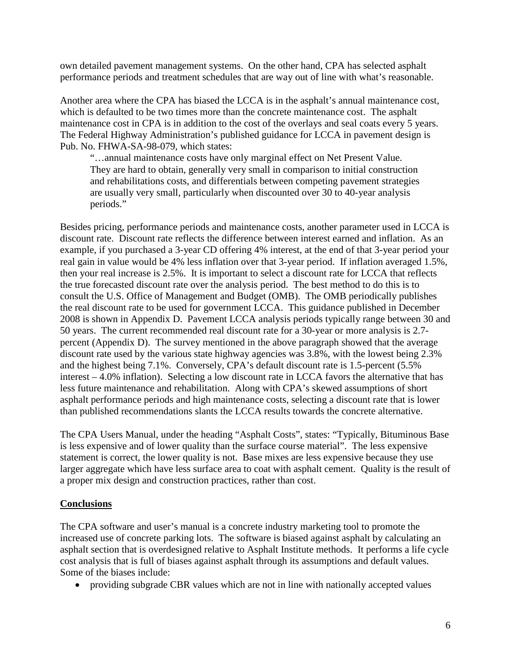own detailed pavement management systems. On the other hand, CPA has selected asphalt performance periods and treatment schedules that are way out of line with what's reasonable.

Another area where the CPA has biased the LCCA is in the asphalt's annual maintenance cost, which is defaulted to be two times more than the concrete maintenance cost. The asphalt maintenance cost in CPA is in addition to the cost of the overlays and seal coats every 5 years. The Federal Highway Administration's published guidance for LCCA in pavement design is Pub. No. FHWA-SA-98-079, which states:

"…annual maintenance costs have only marginal effect on Net Present Value. They are hard to obtain, generally very small in comparison to initial construction and rehabilitations costs, and differentials between competing pavement strategies are usually very small, particularly when discounted over 30 to 40-year analysis periods."

Besides pricing, performance periods and maintenance costs, another parameter used in LCCA is discount rate. Discount rate reflects the difference between interest earned and inflation. As an example, if you purchased a 3-year CD offering 4% interest, at the end of that 3-year period your real gain in value would be 4% less inflation over that 3-year period. If inflation averaged 1.5%, then your real increase is 2.5%. It is important to select a discount rate for LCCA that reflects the true forecasted discount rate over the analysis period. The best method to do this is to consult the U.S. Office of Management and Budget (OMB). The OMB periodically publishes the real discount rate to be used for government LCCA. This guidance published in December 2008 is shown in Appendix D. Pavement LCCA analysis periods typically range between 30 and 50 years. The current recommended real discount rate for a 30-year or more analysis is 2.7 percent (Appendix D). The survey mentioned in the above paragraph showed that the average discount rate used by the various state highway agencies was 3.8%, with the lowest being 2.3% and the highest being 7.1%. Conversely, CPA's default discount rate is 1.5-percent (5.5% interest – 4.0% inflation). Selecting a low discount rate in LCCA favors the alternative that has less future maintenance and rehabilitation. Along with CPA's skewed assumptions of short asphalt performance periods and high maintenance costs, selecting a discount rate that is lower than published recommendations slants the LCCA results towards the concrete alternative.

The CPA Users Manual, under the heading "Asphalt Costs", states: "Typically, Bituminous Base is less expensive and of lower quality than the surface course material". The less expensive statement is correct, the lower quality is not. Base mixes are less expensive because they use larger aggregate which have less surface area to coat with asphalt cement. Quality is the result of a proper mix design and construction practices, rather than cost.

# **Conclusions**

The CPA software and user's manual is a concrete industry marketing tool to promote the increased use of concrete parking lots. The software is biased against asphalt by calculating an asphalt section that is overdesigned relative to Asphalt Institute methods. It performs a life cycle cost analysis that is full of biases against asphalt through its assumptions and default values. Some of the biases include:

• providing subgrade CBR values which are not in line with nationally accepted values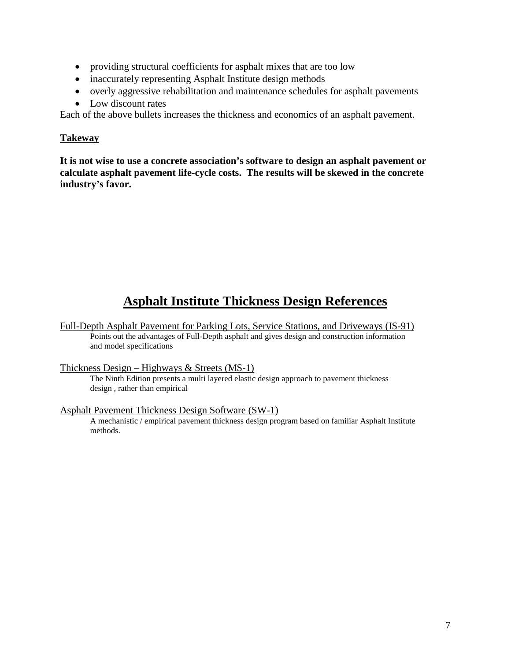- providing structural coefficients for asphalt mixes that are too low
- inaccurately representing Asphalt Institute design methods
- overly aggressive rehabilitation and maintenance schedules for asphalt pavements
- Low discount rates

Each of the above bullets increases the thickness and economics of an asphalt pavement.

### **Takeway**

**It is not wise to use a concrete association's software to design an asphalt pavement or calculate asphalt pavement life-cycle costs. The results will be skewed in the concrete industry's favor.**

# **Asphalt Institute Thickness Design References**

Full-Depth Asphalt Pavement for Parking Lots, Service Stations, and Driveways (IS-91)

Points out the advantages of Full-Depth asphalt and gives design and construction information and model specifications

#### Thickness Design – Highways & Streets (MS-1)

The Ninth Edition presents a multi layered elastic design approach to pavement thickness design , rather than empirical

#### Asphalt Pavement Thickness Design Software (SW-1)

A mechanistic / empirical pavement thickness design program based on familiar Asphalt Institute methods.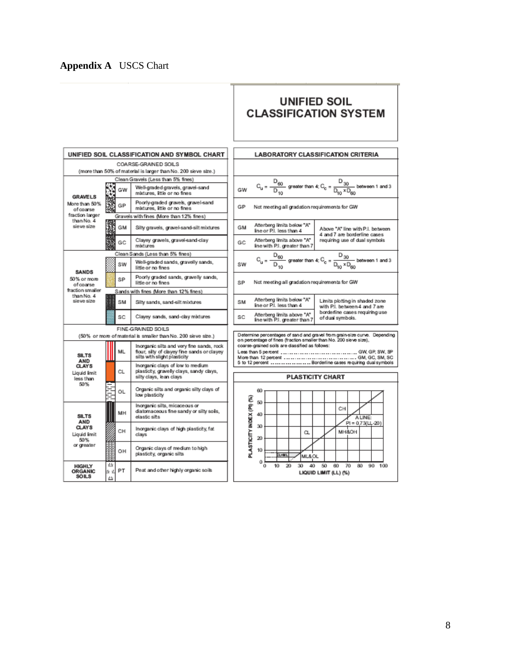#### **Appendix A** USCS Chart



# **UNIFIED SOIL CLASSIFICATION SYSTEM**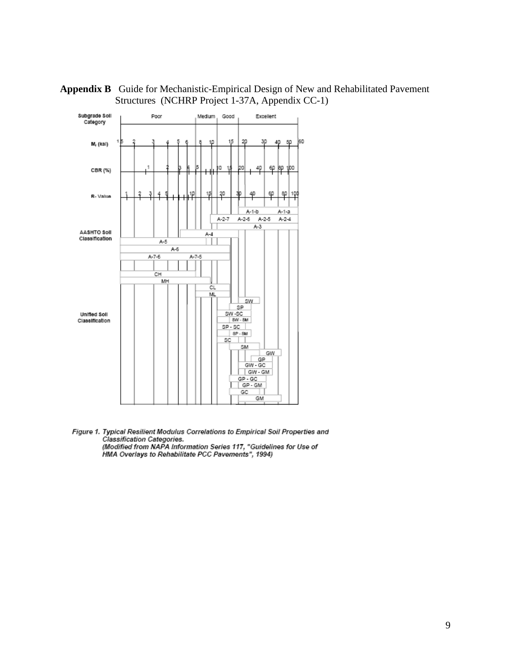

**Appendix B** Guide for Mechanistic-Empirical Design of New and Rehabilitated Pavement Structures (NCHRP Project 1-37A, Appendix CC-1)

Figure 1. Typical Resilient Modulus Correlations to Empirical Soil Properties and Classification Categories.<br>(Modified from NAPA Information Series 117, "Guidelines for Use of<br>HMA Overlays to Rehabilitate PCC Pavements", 1994)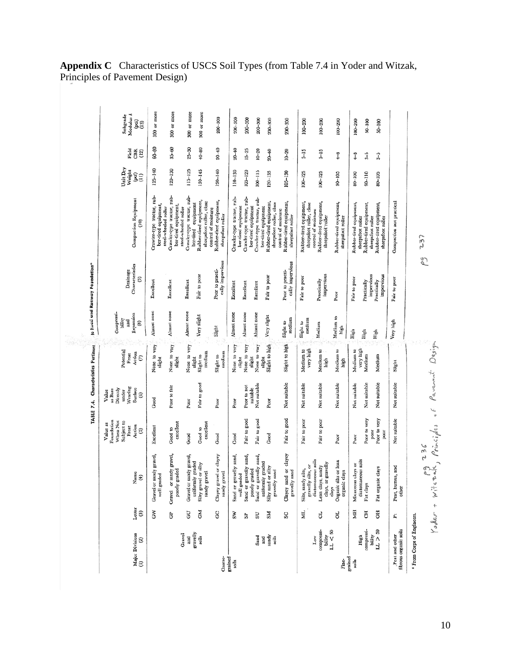|                                         |                             |                                    |                                                                 |                                                  |                                       | TABLE 7.4. Characteristics Pertinent |                          | to Road and Runway Foundation <sup>4</sup> |                                                                               |                               |                   |                              |
|-----------------------------------------|-----------------------------|------------------------------------|-----------------------------------------------------------------|--------------------------------------------------|---------------------------------------|--------------------------------------|--------------------------|--------------------------------------------|-------------------------------------------------------------------------------|-------------------------------|-------------------|------------------------------|
|                                         |                             |                                    |                                                                 | Foundation<br>When Not<br>Subject to<br>Value as | Directly<br>as Base<br>under<br>Value | Potential                            | Compressi-<br>bility     |                                            |                                                                               | Unit Dry                      |                   |                              |
|                                         |                             |                                    |                                                                 | Frost                                            | Wearing                               | Frost                                | and                      | Drainage                                   |                                                                               | Weight                        | Field             | Modulus <i>k</i><br>Subgrade |
| Major Divisions<br>(1) $(2)$            |                             | Letter<br>$\widehat{\mathfrak{g}}$ | Name $(4)$                                                      | Action<br>(5)                                    | Surface<br>0                          | Action<br>E                          | Expansion<br>$\circledR$ | Characteristics<br>ම                       | Compaction Equipment<br>(10)                                                  | $\overline{g}$ $\overline{z}$ | CBR<br>(12)       | Ĵ5                           |
|                                         |                             | š                                  | Gravel or sandy gravel,<br>well graded                          | Excellent                                        | Good                                  | None to very<br>slight               | Almost none              | Excellent                                  | Crawler-type tractor, rub-<br>ber-tired equipment,                            | 125-140                       | $60 - 80$         | 300 or more                  |
|                                         |                             | ូម                                 | Gravel or sandy gravel,<br>poorly graded                        | excellent<br>Good to                             | Poor to fair                          | None to very<br>slight               | Almost none              | Excellent                                  | Crawler-type tractor, rub-<br>ber-tired equipment,<br>steel-wheeled roller    | 120-130                       | $35 - 60$         | 300 or more                  |
|                                         | Gravel<br>and               | GU                                 | Gravel or sandy gravel,                                         | Good                                             | Poor                                  | None to very                         | Almost none              | Excellent                                  | Crawler-type tractor, rub-<br>steel-wheeled roller                            | $115 - 125$                   | $25 - 50$         | 300 or more                  |
|                                         | gravelly<br>soils           | GM                                 | graded<br>or silty<br>sandy gravel<br>uniformly<br>Silty gravel | excellent<br>Good to                             | Fair to good                          | medium<br>Slight to<br>slight        | Very slight              | Fair to poor                               | Rubber-tired equipment,<br>sheepstoot roller, close<br>equipment<br>ber-tired | $130 - 145$                   | $40 - 80$         | 300 or more                  |
| Coarse-                                 |                             | GC                                 | Clayey gravel or clayey<br>sandy gravel                         | Good                                             | Poor                                  | medium<br>Slight to                  | Slight                   | cally impervious<br>Poor to practi-        | Rubber-tired equipment,<br>control of moisture<br>sheepsfoot roller           | $120 - 140$                   | $20 - 40$         | 200-300                      |
| grained<br>soils                        |                             | SW                                 | Sand or gravelly sand,                                          | Good                                             | Poor                                  | None to very                         | Almost none              | Excellent                                  | Crawler-type tractor, rub-                                                    | $110 - 130$                   | $20 - 40$         | $200 - 300$                  |
|                                         |                             | $s_{\rm P}$                        | Sand or gravelly sand,<br>well graded                           | Fair to good                                     | Poor to not                           | None to very<br>slight               | Almost none              | Excellent                                  | Crawler-type tractor, rub-<br>ber-tired equipment                             | $105 - 120$                   | $15 - 25$         | 200-300                      |
|                                         | Sand                        | $_{\rm{US}}$                       | Sand or gravelly sand,<br>poorly graded                         | Fair to good                                     | Not suitable<br>suitable              | None to very<br>slight               | Almost none              | Excellent                                  | Crawler-type tractor, rub-<br>ber-tired equipment                             | $100 - 115$                   | $10 - 20$         | 200-300                      |
|                                         | sandy<br>soils<br>and       | SM                                 | graded<br>Silty sand or silty<br>gravelly sand<br>uniformly     | Good                                             | Poor                                  | Slight to high<br>slight             | Very slight              | Fair to poor                               | Rubber-tired equipment,<br>sheepsfoot roller, close<br>ber-tired equipment    | $120 - 135$                   | $20 - 40$         | $200 - 300$                  |
|                                         |                             | SC                                 | Clayey sand or clayey<br>gravelly sand                          | Fair to good                                     | Not suitable                          | Slight to high                       | medium<br>Slight to      | cally impervious<br>Poor to practi-        | Rubber-tired equipment,<br>control of moisture<br>sheepsfoot roller           | $105 - 130$                   | $10 - 20$         | $200 - 300$                  |
|                                         |                             | NL,                                | gravelly silts, or<br>silts,<br>Silts, sandy                    | Fair to poor                                     | Not suitable                          | very high<br>Medium to               | medium<br>Slight to      | Fair to poor                               | Rubber-tired equipment,<br>sheepsfoot roller, close                           | $100 - 125$                   | $5 - 15$          | $100 - 200$                  |
|                                         | compressi-<br>bility<br>Low | G,                                 | diatomaceous soils<br>clays, or gravelly<br>Lean clays, sandy   | Fair to poor                                     | Not suitable                          | Medium to<br>high                    | Medium                   | impervious<br>Practically                  | Rubber-tired equipment,<br>control of moisture<br>sheepsfoot roller           | $100 - 125$                   | $5 - 15$          | $100 - 200$                  |
| $\rm{Finc}$                             | S<br>$_{\rm LL}$ $<$        | ď                                  | Organic silts or lean<br>organic clays<br>clays                 | Poor                                             | Not suitable                          | Medium to<br>high                    | Medium to<br>high        | Poor                                       | Rubber-tired equipment,<br>sheepsfoot roller                                  | $90 - 105$                    | $\stackrel{9}{+}$ | 100-200                      |
| grained<br>soils                        |                             | HIN                                | Micaceous clays or                                              | $_{\rm Poor}$                                    | Not suitable                          | Medium to                            | High                     | Fair to poor                               | Rubber-tired equipment,                                                       | 80-100                        | $\frac{4}{3}$     | $100 - 200$                  |
|                                         | compressi-<br>High          | H                                  | diatomaceous soils<br>Fat clays                                 | Poor to very                                     | Not suitable                          | very high<br>Medium                  | High                     | Practically                                | Rubber-tired equipment,<br>sheepsfoot roller                                  | $90 - 110$                    | $3 - 5$           | $50 - 100$                   |
|                                         | LL > 50<br>bility           | GН                                 | clays<br>Fat organic                                            | Poor to very<br>poor<br>poor                     | Not suitable                          | Medium                               | High                     | impervious<br>impervious<br>Practically    | Rubber-tired equipment,<br>sheepsfoot roller<br>sheepsfoot roller             | 80-105                        | $3 - 5$           | $50 - 100$                   |
| fibrous organic soils<br>Peat and other |                             | ñ                                  | Peat, humus, and<br>other                                       | Not suitable                                     | Not suitable                          | Slight                               | Very high                | Fair to poor                               | Compaction not practical                                                      |                               |                   |                              |
| <sup>e</sup> From Corps of Engineers.   |                             |                                    |                                                                 |                                                  |                                       |                                      |                          |                                            |                                                                               |                               |                   |                              |
|                                         |                             |                                    | Yoder + Witchen Principles<br>256                               |                                                  |                                       |                                      |                          | Pg                                         | 237                                                                           |                               |                   |                              |

**Appendix C** Characteristics of USCS Soil Types (from Table 7.4 in Yoder and Witzak, Principles of Pavement Design)

10